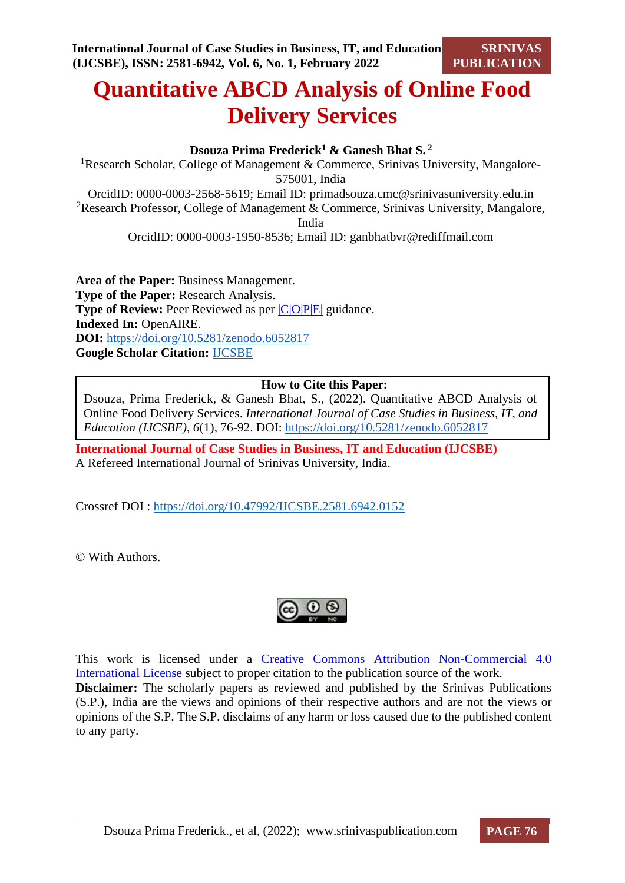# **Quantitative ABCD Analysis of Online Food Delivery Services**

#### **Dsouza Prima Frederick<sup>1</sup> & Ganesh Bhat S. <sup>2</sup>**

<sup>1</sup>Research Scholar, College of Management & Commerce, Srinivas University, Mangalore-575001, India OrcidID: 0000-0003-2568-5619; Email ID: [primadsouza.cmc@srinivasuniversity.edu.in](mailto:primadsouza.cmc@srinivasuniversity.edu.in) <sup>2</sup>Research Professor, College of Management & Commerce, Srinivas University, Mangalore, India

OrcidID: 0000-0003-1950-8536; Email ID: [ganbhatbvr@rediffmail.com](mailto:ganbhatbvr@rediffmail.com)

**Area of the Paper:** Business Management. **Type of the Paper:** Research Analysis. **Type of Review:** Peer Reviewed as per  $|C|O||P|E|$  guidance. **Indexed In:** OpenAIRE. **DOI:** <https://doi.org/10.5281/zenodo.6052817> **Google Scholar Citation:** [IJCSBE](https://scholar.google.com/citations?user=yGYPA1MAAAAJ)

#### **How to Cite this Paper:**

Dsouza, Prima Frederick, & Ganesh Bhat, S., (2022). Quantitative ABCD Analysis of Online Food Delivery Services. *International Journal of Case Studies in Business, IT, and Education (IJCSBE), 6*(1), 76-92. DOI:<https://doi.org/10.5281/zenodo.6052817>

**International Journal of Case Studies in Business, IT and Education (IJCSBE)** A Refereed International Journal of Srinivas University, India.

Crossref DOI : [https://doi.org/10.47992/IJCSBE.2581.6942.0152](https://search.crossref.org/?q=10.47992%2FIJCSBE.2581.6942.0152&from_ui=yes)

© With Authors.



This work is licensed under a Creative Commons Attribution Non-Commercial 4.0 International License subject to proper citation to the publication source of the work. **Disclaimer:** The scholarly papers as reviewed and published by the Srinivas Publications (S.P.), India are the views and opinions of their respective authors and are not the views or opinions of the S.P. The S.P. disclaims of any harm or loss caused due to the published content to any party.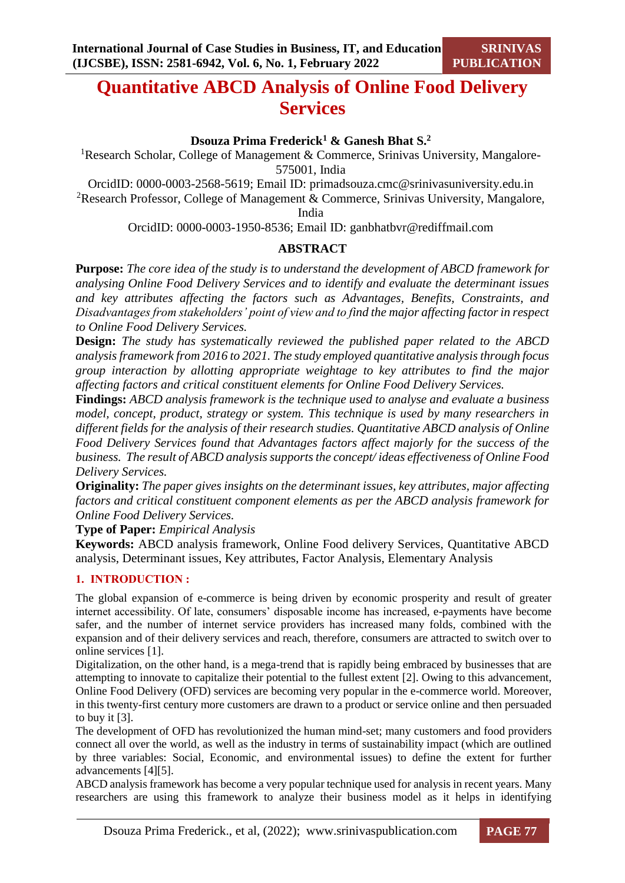## **Quantitative ABCD Analysis of Online Food Delivery Services**

#### **Dsouza Prima Frederick<sup>1</sup> & Ganesh Bhat S.<sup>2</sup>**

<sup>1</sup>Research Scholar, College of Management & Commerce, Srinivas University, Mangalore-575001, India

OrcidID: 0000-0003-2568-5619; Email ID: [primadsouza.cmc@srinivasuniversity.edu.in](mailto:primadsouza.cmc@srinivasuniversity.edu.in)

<sup>2</sup>Research Professor, College of Management & Commerce, Srinivas University, Mangalore,

India

OrcidID: 0000-0003-1950-8536; Email ID: [ganbhatbvr@rediffmail.com](mailto:ganbhatbvr@rediffmail.com)

#### **ABSTRACT**

**Purpose:** *The core idea of the study is to understand the development of ABCD framework for analysing Online Food Delivery Services and to identify and evaluate the determinant issues and key attributes affecting the factors such as Advantages, Benefits, Constraints, and Disadvantages from stakeholders' point of view and to find the major affecting factor in respect to Online Food Delivery Services.*

**Design:** *The study has systematically reviewed the published paper related to the ABCD analysis framework from 2016 to 2021. The study employed quantitative analysis through focus group interaction by allotting appropriate weightage to key attributes to find the major affecting factors and critical constituent elements for Online Food Delivery Services.*

**Findings:** *ABCD analysis framework is the technique used to analyse and evaluate a business model, concept, product, strategy or system. This technique is used by many researchers in different fields for the analysis of their research studies. Quantitative ABCD analysis of Online Food Delivery Services found that Advantages factors affect majorly for the success of the business. The result of ABCD analysis supports the concept/ ideas effectiveness of Online Food Delivery Services.*

**Originality:** *The paper gives insights on the determinant issues, key attributes, major affecting factors and critical constituent component elements as per the ABCD analysis framework for Online Food Delivery Services.* 

**Type of Paper:** *Empirical Analysis*

**Keywords:** ABCD analysis framework, Online Food delivery Services, Quantitative ABCD analysis, Determinant issues, Key attributes, Factor Analysis, Elementary Analysis

#### **1. INTRODUCTION :**

The global expansion of e-commerce is being driven by economic prosperity and result of greater internet accessibility. Of late, consumers' disposable income has increased, e-payments have become safer, and the number of internet service providers has increased many folds, combined with the expansion and of their delivery services and reach, therefore, consumers are attracted to switch over to online services [1].

Digitalization, on the other hand, is a mega-trend that is rapidly being embraced by businesses that are attempting to innovate to capitalize their potential to the fullest extent [2]. Owing to this advancement, Online Food Delivery (OFD) services are becoming very popular in the e-commerce world. Moreover, in this twenty-first century more customers are drawn to a product or service online and then persuaded to buy it [3].

The development of OFD has revolutionized the human mind-set; many customers and food providers connect all over the world, as well as the industry in terms of sustainability impact (which are outlined by three variables: Social, Economic, and environmental issues) to define the extent for further advancements [4][5].

ABCD analysis framework has become a very popular technique used for analysis in recent years. Many researchers are using this framework to analyze their business model as it helps in identifying

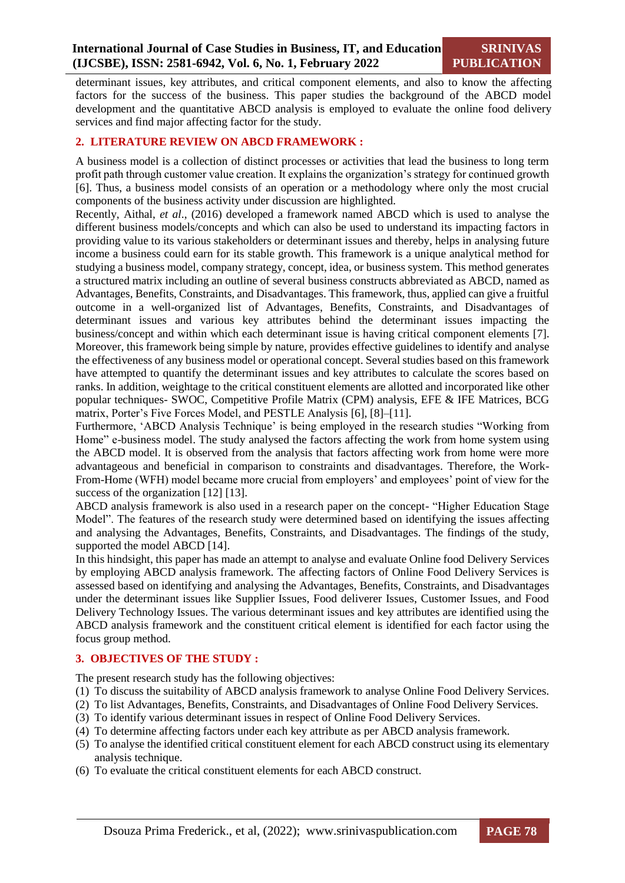determinant issues, key attributes, and critical component elements, and also to know the affecting factors for the success of the business. This paper studies the background of the ABCD model development and the quantitative ABCD analysis is employed to evaluate the online food delivery services and find major affecting factor for the study.

#### **2. LITERATURE REVIEW ON ABCD FRAMEWORK :**

A business model is a collection of distinct processes or activities that lead the business to long term profit path through customer value creation. It explains the organization's strategy for continued growth [6]. Thus, a business model consists of an operation or a methodology where only the most crucial components of the business activity under discussion are highlighted.

Recently, Aithal, *et al*., (2016) developed a framework named ABCD which is used to analyse the different business models/concepts and which can also be used to understand its impacting factors in providing value to its various stakeholders or determinant issues and thereby, helps in analysing future income a business could earn for its stable growth. This framework is a unique analytical method for studying a business model, company strategy, concept, idea, or business system. This method generates a structured matrix including an outline of several business constructs abbreviated as ABCD, named as Advantages, Benefits, Constraints, and Disadvantages. This framework, thus, applied can give a fruitful outcome in a well-organized list of Advantages, Benefits, Constraints, and Disadvantages of determinant issues and various key attributes behind the determinant issues impacting the business/concept and within which each determinant issue is having critical component elements [7]. Moreover, this framework being simple by nature, provides effective guidelines to identify and analyse the effectiveness of any business model or operational concept. Several studies based on this framework have attempted to quantify the determinant issues and key attributes to calculate the scores based on ranks. In addition, weightage to the critical constituent elements are allotted and incorporated like other popular techniques- SWOC, Competitive Profile Matrix (CPM) analysis, EFE & IFE Matrices, BCG matrix, Porter's Five Forces Model, and PESTLE Analysis [6], [8]–[11].

Furthermore, 'ABCD Analysis Technique' is being employed in the research studies "Working from Home" e-business model. The study analysed the factors affecting the work from home system using the ABCD model. It is observed from the analysis that factors affecting work from home were more advantageous and beneficial in comparison to constraints and disadvantages. Therefore, the Work-From-Home (WFH) model became more crucial from employers' and employees' point of view for the success of the organization [12] [13].

ABCD analysis framework is also used in a research paper on the concept- "Higher Education Stage Model". The features of the research study were determined based on identifying the issues affecting and analysing the Advantages, Benefits, Constraints, and Disadvantages. The findings of the study, supported the model ABCD [14].

In this hindsight, this paper has made an attempt to analyse and evaluate Online food Delivery Services by employing ABCD analysis framework. The affecting factors of Online Food Delivery Services is assessed based on identifying and analysing the Advantages, Benefits, Constraints, and Disadvantages under the determinant issues like Supplier Issues, Food deliverer Issues, Customer Issues, and Food Delivery Technology Issues. The various determinant issues and key attributes are identified using the ABCD analysis framework and the constituent critical element is identified for each factor using the focus group method.

#### **3. OBJECTIVES OF THE STUDY :**

The present research study has the following objectives:

- (1) To discuss the suitability of ABCD analysis framework to analyse Online Food Delivery Services.
- (2) To list Advantages, Benefits, Constraints, and Disadvantages of Online Food Delivery Services.
- (3) To identify various determinant issues in respect of Online Food Delivery Services.
- (4) To determine affecting factors under each key attribute as per ABCD analysis framework.
- (5) To analyse the identified critical constituent element for each ABCD construct using its elementary analysis technique.
- (6) To evaluate the critical constituent elements for each ABCD construct.

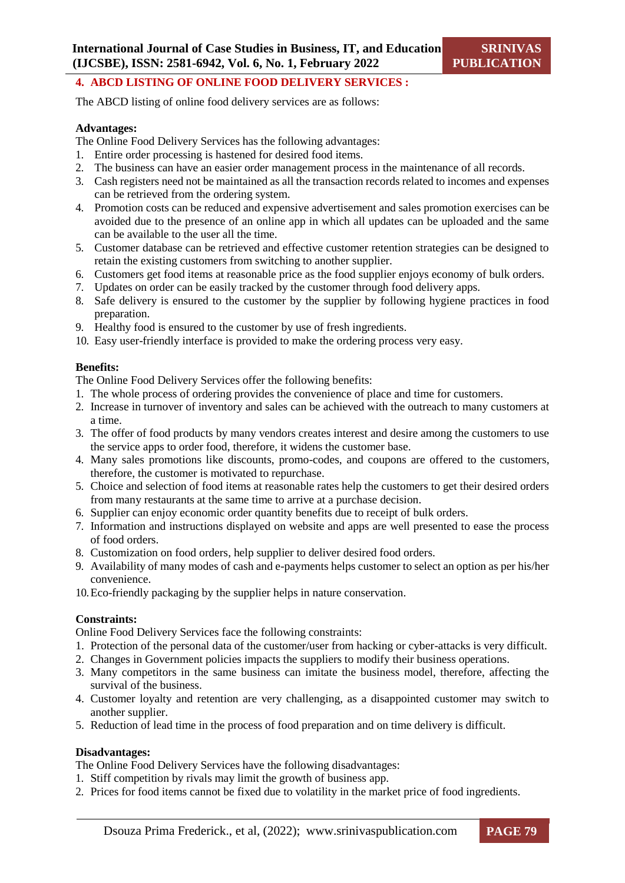#### **4. ABCD LISTING OF ONLINE FOOD DELIVERY SERVICES :**

The ABCD listing of online food delivery services are as follows:

#### **Advantages:**

The Online Food Delivery Services has the following advantages:

- 1. Entire order processing is hastened for desired food items.
- 2. The business can have an easier order management process in the maintenance of all records.
- 3. Cash registers need not be maintained as all the transaction records related to incomes and expenses can be retrieved from the ordering system.
- 4. Promotion costs can be reduced and expensive advertisement and sales promotion exercises can be avoided due to the presence of an online app in which all updates can be uploaded and the same can be available to the user all the time.
- 5. Customer database can be retrieved and effective customer retention strategies can be designed to retain the existing customers from switching to another supplier.
- 6. Customers get food items at reasonable price as the food supplier enjoys economy of bulk orders.
- 7. Updates on order can be easily tracked by the customer through food delivery apps.
- 8. Safe delivery is ensured to the customer by the supplier by following hygiene practices in food preparation.
- 9. Healthy food is ensured to the customer by use of fresh ingredients.
- 10. Easy user-friendly interface is provided to make the ordering process very easy.

#### **Benefits:**

The Online Food Delivery Services offer the following benefits:

- 1. The whole process of ordering provides the convenience of place and time for customers.
- 2. Increase in turnover of inventory and sales can be achieved with the outreach to many customers at a time.
- 3. The offer of food products by many vendors creates interest and desire among the customers to use the service apps to order food, therefore, it widens the customer base.
- 4. Many sales promotions like discounts, promo-codes, and coupons are offered to the customers, therefore, the customer is motivated to repurchase.
- 5. Choice and selection of food items at reasonable rates help the customers to get their desired orders from many restaurants at the same time to arrive at a purchase decision.
- 6. Supplier can enjoy economic order quantity benefits due to receipt of bulk orders.
- 7. Information and instructions displayed on website and apps are well presented to ease the process of food orders.
- 8. Customization on food orders, help supplier to deliver desired food orders.
- 9. Availability of many modes of cash and e-payments helps customer to select an option as per his/her convenience.
- 10.Eco-friendly packaging by the supplier helps in nature conservation.

#### **Constraints:**

Online Food Delivery Services face the following constraints:

- 1. Protection of the personal data of the customer/user from hacking or cyber-attacks is very difficult.
- 2. Changes in Government policies impacts the suppliers to modify their business operations.
- 3. Many competitors in the same business can imitate the business model, therefore, affecting the survival of the business.
- 4. Customer loyalty and retention are very challenging, as a disappointed customer may switch to another supplier.
- 5. Reduction of lead time in the process of food preparation and on time delivery is difficult.

#### **Disadvantages:**

The Online Food Delivery Services have the following disadvantages:

- 1. Stiff competition by rivals may limit the growth of business app.
- 2. Prices for food items cannot be fixed due to volatility in the market price of food ingredients.

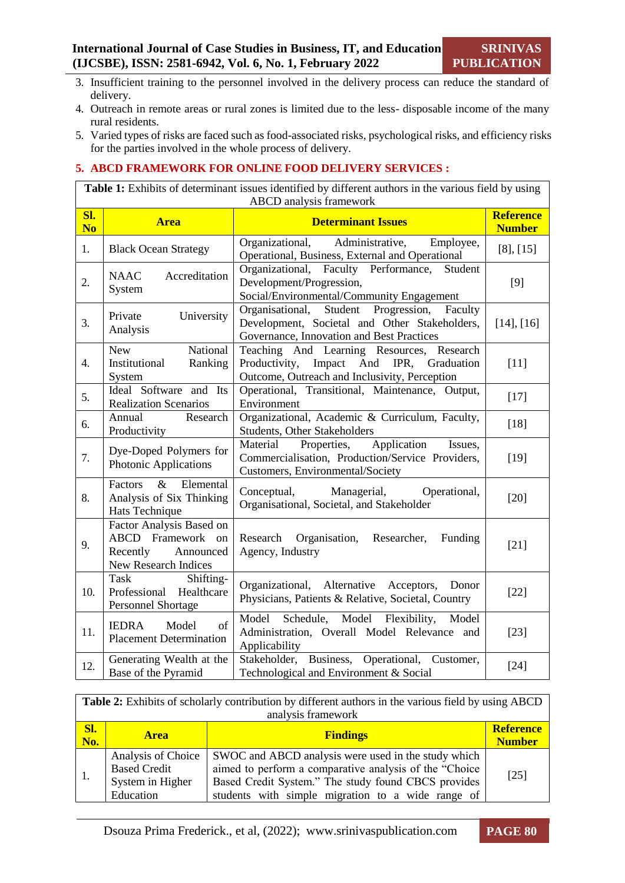- 3. Insufficient training to the personnel involved in the delivery process can reduce the standard of delivery.
- 4. Outreach in remote areas or rural zones is limited due to the less- disposable income of the many rural residents.
- 5. Varied types of risks are faced such as food-associated risks, psychological risks, and efficiency risks for the parties involved in the whole process of delivery.

#### **5. ABCD FRAMEWORK FOR ONLINE FOOD DELIVERY SERVICES :**

**Table 1:** Exhibits of determinant issues identified by different authors in the various field by using ABCD analysis framework

| SI.<br>N <sub>0</sub> | <b>Area</b>                                                                                              | <b>Determinant Issues</b>                                                                                                                     | <b>Reference</b><br><b>Number</b> |
|-----------------------|----------------------------------------------------------------------------------------------------------|-----------------------------------------------------------------------------------------------------------------------------------------------|-----------------------------------|
| 1.                    | <b>Black Ocean Strategy</b>                                                                              | Organizational, Administrative,<br>Employee,<br>Operational, Business, External and Operational                                               | [8], [15]                         |
| 2.                    | <b>NAAC</b><br>Accreditation<br>System                                                                   | Organizational, Faculty Performance,<br>Student<br>Development/Progression,<br>Social/Environmental/Community Engagement                      | $[9]$                             |
| $\overline{3}$ .      | University<br>Private<br>Analysis                                                                        | Student Progression, Faculty<br>Organisational,<br>Development, Societal and Other Stakeholders,<br>Governance, Innovation and Best Practices | [14], [16]                        |
| 4.                    | National<br><b>New</b><br>Institutional<br>Ranking<br>System                                             | Teaching And Learning Resources, Research<br>Productivity, Impact And IPR, Graduation<br>Outcome, Outreach and Inclusivity, Perception        | $[11]$                            |
| 5.                    | Ideal Software and Its<br><b>Realization Scenarios</b>                                                   | Operational, Transitional, Maintenance, Output,<br>Environment                                                                                | $[17]$                            |
| 6.                    | Annual<br>Research<br>Productivity                                                                       | Organizational, Academic & Curriculum, Faculty,<br>Students, Other Stakeholders                                                               | $[18]$                            |
| 7.                    | Dye-Doped Polymers for<br>Photonic Applications                                                          | Properties,<br>Application<br>Material<br>Issues,<br>Commercialisation, Production/Service Providers,<br>Customers, Environmental/Society     | $[19]$                            |
| 8.                    | $\&$<br>Elemental<br>Factors<br>Analysis of Six Thinking<br>Hats Technique                               | Managerial,<br>Conceptual,<br>Operational,<br>Organisational, Societal, and Stakeholder                                                       | $[20]$                            |
| 9.                    | Factor Analysis Based on<br><b>ABCD</b> Framework<br>on<br>Announced<br>Recently<br>New Research Indices | Research<br>Organisation,<br>Researcher,<br>Funding<br>Agency, Industry                                                                       | $[21]$                            |
| 10.                   | <b>Task</b><br>Shifting-<br>Professional Healthcare<br><b>Personnel Shortage</b>                         | Organizational, Alternative Acceptors, Donor<br>Physicians, Patients & Relative, Societal, Country                                            | $[22]$                            |
| 11.                   | of<br><b>IEDRA</b><br>Model<br><b>Placement Determination</b>                                            | Model<br>Schedule, Model Flexibility, Model<br>Administration, Overall Model Relevance and<br>Applicability                                   | $[23]$                            |
| 12.                   | Generating Wealth at the<br>Base of the Pyramid                                                          | Stakeholder, Business, Operational, Customer,<br>Technological and Environment & Social                                                       | $[24]$                            |

|            | <b>Table 2:</b> Exhibits of scholarly contribution by different authors in the various field by using ABCD |                                                                                                                                                                                                                           |                                   |  |  |  |
|------------|------------------------------------------------------------------------------------------------------------|---------------------------------------------------------------------------------------------------------------------------------------------------------------------------------------------------------------------------|-----------------------------------|--|--|--|
|            |                                                                                                            | analysis framework                                                                                                                                                                                                        |                                   |  |  |  |
| Sl.<br>No. | <b>Area</b>                                                                                                | <b>Findings</b>                                                                                                                                                                                                           | <b>Reference</b><br><b>Number</b> |  |  |  |
|            | Analysis of Choice<br><b>Based Credit</b><br>System in Higher<br>Education                                 | SWOC and ABCD analysis were used in the study which<br>aimed to perform a comparative analysis of the "Choice<br>Based Credit System." The study found CBCS provides<br>students with simple migration to a wide range of | [25]                              |  |  |  |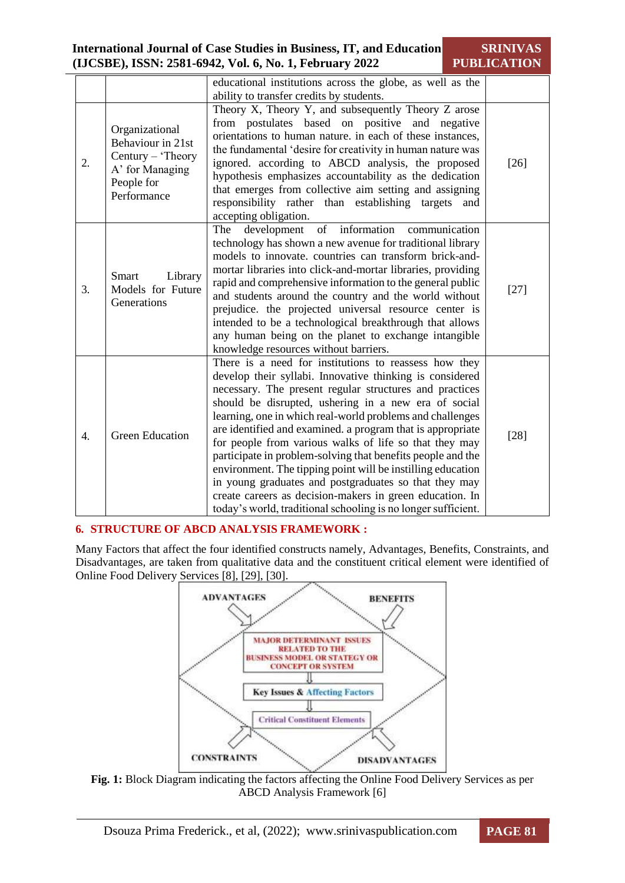|                  |                                                                                                          | educational institutions across the globe, as well as the                                                                                                                                                                                                                                                                                                                                                                                                                                                                                                                                                                                                                                                                                     |        |
|------------------|----------------------------------------------------------------------------------------------------------|-----------------------------------------------------------------------------------------------------------------------------------------------------------------------------------------------------------------------------------------------------------------------------------------------------------------------------------------------------------------------------------------------------------------------------------------------------------------------------------------------------------------------------------------------------------------------------------------------------------------------------------------------------------------------------------------------------------------------------------------------|--------|
|                  |                                                                                                          | ability to transfer credits by students.                                                                                                                                                                                                                                                                                                                                                                                                                                                                                                                                                                                                                                                                                                      |        |
| 2.               | Organizational<br>Behaviour in 21st<br>Century – 'Theory<br>A' for Managing<br>People for<br>Performance | Theory X, Theory Y, and subsequently Theory Z arose<br>from postulates based on positive and negative<br>orientations to human nature. in each of these instances,<br>the fundamental 'desire for creativity in human nature was<br>ignored. according to ABCD analysis, the proposed<br>hypothesis emphasizes accountability as the dedication<br>that emerges from collective aim setting and assigning<br>responsibility rather than establishing targets<br>and<br>accepting obligation.                                                                                                                                                                                                                                                  | $[26]$ |
| 3.               | Smart<br>Library<br>Models for Future<br>Generations                                                     | development of information communication<br>The<br>technology has shown a new avenue for traditional library<br>models to innovate. countries can transform brick-and-<br>mortar libraries into click-and-mortar libraries, providing<br>rapid and comprehensive information to the general public<br>and students around the country and the world without<br>prejudice. the projected universal resource center is<br>intended to be a technological breakthrough that allows<br>any human being on the planet to exchange intangible<br>knowledge resources without barriers.                                                                                                                                                              | $[27]$ |
| $\overline{4}$ . | <b>Green Education</b>                                                                                   | There is a need for institutions to reassess how they<br>develop their syllabi. Innovative thinking is considered<br>necessary. The present regular structures and practices<br>should be disrupted, ushering in a new era of social<br>learning, one in which real-world problems and challenges<br>are identified and examined. a program that is appropriate<br>for people from various walks of life so that they may<br>participate in problem-solving that benefits people and the<br>environment. The tipping point will be instilling education<br>in young graduates and postgraduates so that they may<br>create careers as decision-makers in green education. In<br>today's world, traditional schooling is no longer sufficient. | $[28]$ |

#### **6. STRUCTURE OF ABCD ANALYSIS FRAMEWORK :**

Many Factors that affect the four identified constructs namely, Advantages, Benefits, Constraints, and Disadvantages, are taken from qualitative data and the constituent critical element were identified of Online Food Delivery Services [8], [29], [30].



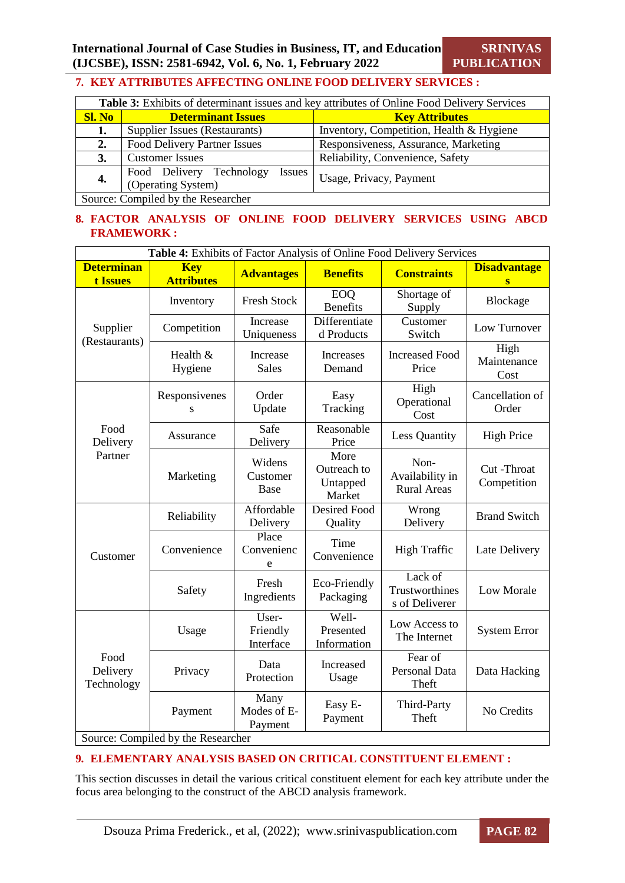### **7. KEY ATTRIBUTES AFFECTING ONLINE FOOD DELIVERY SERVICES :**

| Table 3: Exhibits of determinant issues and key attributes of Online Food Delivery Services |                                                                 |                                          |  |  |
|---------------------------------------------------------------------------------------------|-----------------------------------------------------------------|------------------------------------------|--|--|
| <b>Sl. No</b>                                                                               | <b>Determinant Issues</b>                                       | <b>Key Attributes</b>                    |  |  |
| 1.                                                                                          | Supplier Issues (Restaurants)                                   | Inventory, Competition, Health & Hygiene |  |  |
| 2.                                                                                          | Food Delivery Partner Issues                                    | Responsiveness, Assurance, Marketing     |  |  |
| 3.                                                                                          | <b>Customer Issues</b>                                          | Reliability, Convenience, Safety         |  |  |
| 4.                                                                                          | Food Delivery Technology<br><i>Issues</i><br>(Operating System) | Usage, Privacy, Payment                  |  |  |
| Source: Compiled by the Researcher                                                          |                                                                 |                                          |  |  |

#### **8. FACTOR ANALYSIS OF ONLINE FOOD DELIVERY SERVICES USING ABCD FRAMEWORK :**

| Table 4: Exhibits of Factor Analysis of Online Food Delivery Services |                                 |                                |                                           |                                               |                             |  |
|-----------------------------------------------------------------------|---------------------------------|--------------------------------|-------------------------------------------|-----------------------------------------------|-----------------------------|--|
| <b>Determinan</b><br>t Issues                                         | <b>Key</b><br><b>Attributes</b> | <b>Advantages</b>              | <b>Benefits</b>                           | <b>Constraints</b>                            | <b>Disadvantage</b><br>S    |  |
|                                                                       | Inventory                       | <b>Fresh Stock</b>             | <b>EOQ</b><br><b>Benefits</b>             | Shortage of<br>Supply                         | Blockage                    |  |
| Supplier<br>(Restaurants)                                             | Competition                     | Increase<br>Uniqueness         | Differentiate<br>d Products               | Customer<br>Switch                            | Low Turnover                |  |
|                                                                       | Health &<br>Hygiene             | Increase<br><b>Sales</b>       | Increases<br>Demand                       | <b>Increased Food</b><br>Price                | High<br>Maintenance<br>Cost |  |
|                                                                       | Responsivenes<br>S              | Order<br>Update                | Easy<br>Tracking                          | High<br>Operational<br>Cost                   | Cancellation of<br>Order    |  |
| Food<br>Delivery                                                      | Assurance                       | Safe<br>Delivery               | Reasonable<br>Price                       | <b>Less Quantity</b>                          | <b>High Price</b>           |  |
| Partner                                                               | Marketing                       | Widens<br>Customer<br>Base     | More<br>Outreach to<br>Untapped<br>Market | Non-<br>Availability in<br><b>Rural Areas</b> | Cut-Throat<br>Competition   |  |
|                                                                       | Reliability                     | Affordable<br>Delivery         | <b>Desired Food</b><br>Quality            | Wrong<br>Delivery                             | <b>Brand Switch</b>         |  |
| Customer                                                              | Convenience                     | Place<br>Convenienc<br>e       | Time<br>Convenience                       | <b>High Traffic</b>                           | Late Delivery               |  |
|                                                                       | Safety                          | Fresh<br>Ingredients           | Eco-Friendly<br>Packaging                 | Lack of<br>Trustworthines<br>s of Deliverer   | <b>Low Morale</b>           |  |
|                                                                       | Usage                           | User-<br>Friendly<br>Interface | Well-<br>Presented<br>Information         | Low Access to<br>The Internet                 | <b>System Error</b>         |  |
| Food<br>Delivery<br>Technology                                        | Privacy                         | Data<br>Protection             | Increased<br>Usage                        | Fear of<br><b>Personal Data</b><br>Theft      | Data Hacking                |  |
|                                                                       | Payment                         | Many<br>Modes of E-<br>Payment | Easy E-<br>Payment                        | Third-Party<br>Theft                          | No Credits                  |  |
| Source: Compiled by the Researcher                                    |                                 |                                |                                           |                                               |                             |  |

#### **9. ELEMENTARY ANALYSIS BASED ON CRITICAL CONSTITUENT ELEMENT :**

This section discusses in detail the various critical constituent element for each key attribute under the focus area belonging to the construct of the ABCD analysis framework.

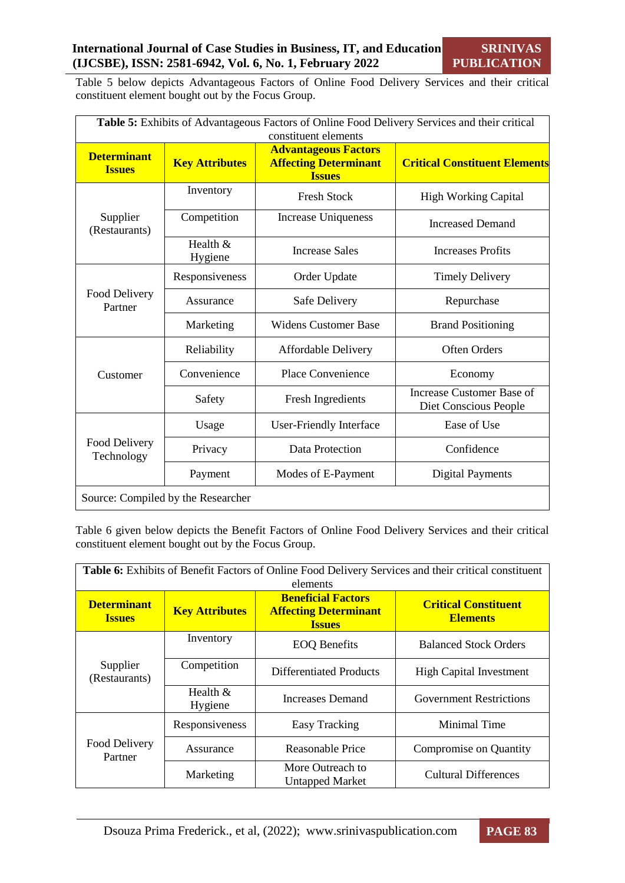Table 5 below depicts Advantageous Factors of Online Food Delivery Services and their critical constituent element bought out by the Focus Group.

| Table 5: Exhibits of Advantageous Factors of Online Food Delivery Services and their critical<br>constituent elements |                                    |                                                                              |                                                    |  |  |
|-----------------------------------------------------------------------------------------------------------------------|------------------------------------|------------------------------------------------------------------------------|----------------------------------------------------|--|--|
| <b>Determinant</b><br><b>Issues</b>                                                                                   | <b>Key Attributes</b>              | <b>Advantageous Factors</b><br><b>Affecting Determinant</b><br><b>Issues</b> | <b>Critical Constituent Elements</b>               |  |  |
|                                                                                                                       | Inventory                          | <b>Fresh Stock</b>                                                           | <b>High Working Capital</b>                        |  |  |
| Supplier<br>(Restaurants)                                                                                             | Competition                        | <b>Increase Uniqueness</b>                                                   | <b>Increased Demand</b>                            |  |  |
|                                                                                                                       | Health &<br>Hygiene                | <b>Increase Sales</b>                                                        | <b>Increases Profits</b>                           |  |  |
|                                                                                                                       | Responsiveness                     | Order Update                                                                 | <b>Timely Delivery</b>                             |  |  |
| Food Delivery<br>Partner                                                                                              | Assurance                          | Safe Delivery                                                                | Repurchase                                         |  |  |
|                                                                                                                       | Marketing                          | <b>Widens Customer Base</b>                                                  | <b>Brand Positioning</b>                           |  |  |
|                                                                                                                       | Reliability                        | Affordable Delivery                                                          | <b>Often Orders</b>                                |  |  |
| Customer                                                                                                              | Convenience                        | Place Convenience                                                            | Economy                                            |  |  |
|                                                                                                                       | Safety                             | <b>Fresh Ingredients</b>                                                     | Increase Customer Base of<br>Diet Conscious People |  |  |
|                                                                                                                       | Usage                              | User-Friendly Interface                                                      | Ease of Use                                        |  |  |
| Food Delivery<br>Technology                                                                                           | Privacy                            | Data Protection                                                              | Confidence                                         |  |  |
|                                                                                                                       | Payment                            | Modes of E-Payment                                                           | <b>Digital Payments</b>                            |  |  |
|                                                                                                                       | Source: Compiled by the Researcher |                                                                              |                                                    |  |  |

Table 6 given below depicts the Benefit Factors of Online Food Delivery Services and their critical constituent element bought out by the Focus Group.

| <b>Table 6:</b> Exhibits of Benefit Factors of Online Food Delivery Services and their critical constituent<br>elements |                       |                                                                            |                                                |  |  |
|-------------------------------------------------------------------------------------------------------------------------|-----------------------|----------------------------------------------------------------------------|------------------------------------------------|--|--|
| <b>Determinant</b><br><b>Issues</b>                                                                                     | <b>Key Attributes</b> | <b>Beneficial Factors</b><br><b>Affecting Determinant</b><br><b>Issues</b> | <b>Critical Constituent</b><br><b>Elements</b> |  |  |
|                                                                                                                         | Inventory             | <b>EOQ</b> Benefits                                                        | <b>Balanced Stock Orders</b>                   |  |  |
| Supplier<br>(Restaurants)                                                                                               | Competition           | Differentiated Products                                                    | <b>High Capital Investment</b>                 |  |  |
|                                                                                                                         | Health $&$<br>Hygiene | Increases Demand                                                           | <b>Government Restrictions</b>                 |  |  |
|                                                                                                                         | Responsiveness        | Easy Tracking                                                              | Minimal Time                                   |  |  |
| Food Delivery<br>Partner                                                                                                | Assurance             | Reasonable Price                                                           | Compromise on Quantity                         |  |  |
|                                                                                                                         | Marketing             | More Outreach to<br><b>Untapped Market</b>                                 | <b>Cultural Differences</b>                    |  |  |

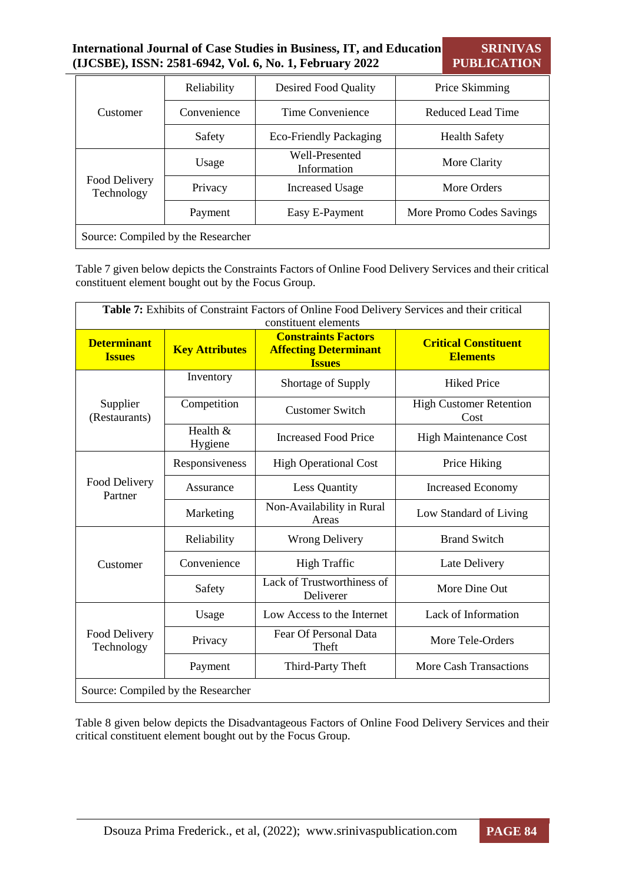#### **International Journal of Case Studies in Business, IT, and Education (IJCSBE), ISSN: 2581-6942, Vol. 6, No. 1, February 2022 SRINIVAS PUBLICATION**

|                                    | Reliability | Desired Food Quality          | Price Skimming           |  |  |
|------------------------------------|-------------|-------------------------------|--------------------------|--|--|
| Customer                           | Convenience | Time Convenience              | Reduced Lead Time        |  |  |
|                                    | Safety      | Eco-Friendly Packaging        | <b>Health Safety</b>     |  |  |
|                                    | Usage       | Well-Presented<br>Information | More Clarity             |  |  |
| Food Delivery<br>Technology        | Privacy     | <b>Increased Usage</b>        | More Orders              |  |  |
|                                    | Payment     | Easy E-Payment                | More Promo Codes Savings |  |  |
| Source: Compiled by the Researcher |             |                               |                          |  |  |

Table 7 given below depicts the Constraints Factors of Online Food Delivery Services and their critical constituent element bought out by the Focus Group.

| Table 7: Exhibits of Constraint Factors of Online Food Delivery Services and their critical<br>constituent elements |                       |                                                                             |                                                |  |  |
|---------------------------------------------------------------------------------------------------------------------|-----------------------|-----------------------------------------------------------------------------|------------------------------------------------|--|--|
| <b>Determinant</b><br><b>Issues</b>                                                                                 | <b>Key Attributes</b> | <b>Constraints Factors</b><br><b>Affecting Determinant</b><br><b>Issues</b> | <b>Critical Constituent</b><br><b>Elements</b> |  |  |
|                                                                                                                     | Inventory             | Shortage of Supply                                                          | <b>Hiked Price</b>                             |  |  |
| Supplier<br>(Restaurants)                                                                                           | Competition           | <b>Customer Switch</b>                                                      | <b>High Customer Retention</b><br>Cost         |  |  |
|                                                                                                                     | Health $&$<br>Hygiene | <b>Increased Food Price</b>                                                 | <b>High Maintenance Cost</b>                   |  |  |
|                                                                                                                     | Responsiveness        | <b>High Operational Cost</b>                                                | Price Hiking                                   |  |  |
| Food Delivery<br>Partner                                                                                            | Assurance             | Less Quantity                                                               | <b>Increased Economy</b>                       |  |  |
|                                                                                                                     | Marketing             | Non-Availability in Rural<br>Areas                                          | Low Standard of Living                         |  |  |
|                                                                                                                     | Reliability           | <b>Wrong Delivery</b>                                                       | <b>Brand Switch</b>                            |  |  |
| Customer                                                                                                            | Convenience           | <b>High Traffic</b>                                                         | Late Delivery                                  |  |  |
|                                                                                                                     | Safety                | Lack of Trustworthiness of<br>Deliverer                                     | More Dine Out                                  |  |  |
|                                                                                                                     | Usage                 | Low Access to the Internet                                                  | Lack of Information                            |  |  |
| Food Delivery<br>Technology                                                                                         | Privacy               | Fear Of Personal Data<br>Theft                                              | More Tele-Orders                               |  |  |
|                                                                                                                     | Payment               | Third-Party Theft                                                           | <b>More Cash Transactions</b>                  |  |  |
| Source: Compiled by the Researcher                                                                                  |                       |                                                                             |                                                |  |  |

Table 8 given below depicts the Disadvantageous Factors of Online Food Delivery Services and their critical constituent element bought out by the Focus Group.

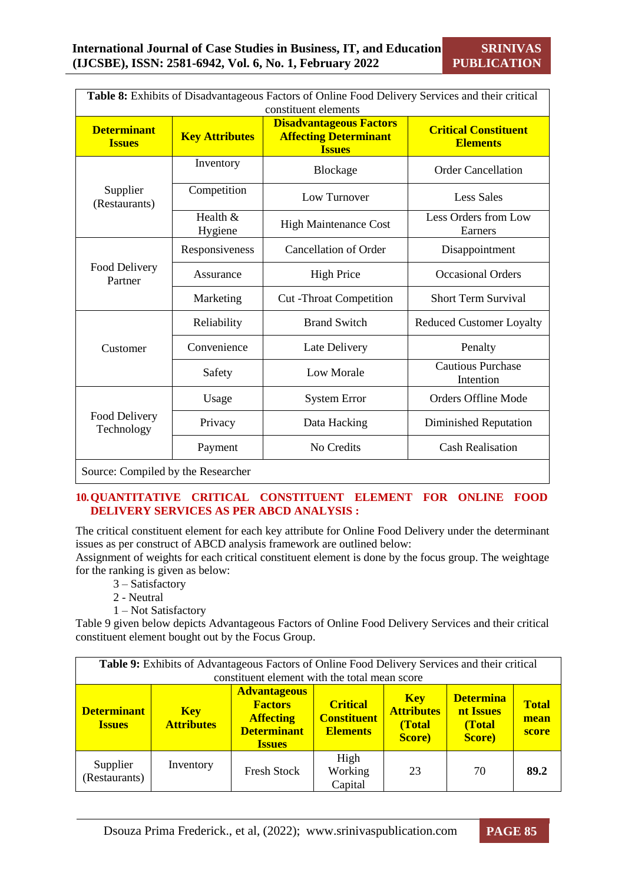| Table 8: Exhibits of Disadvantageous Factors of Online Food Delivery Services and their critical<br>constituent elements |                       |                                                                                 |                                                |  |  |
|--------------------------------------------------------------------------------------------------------------------------|-----------------------|---------------------------------------------------------------------------------|------------------------------------------------|--|--|
| <b>Determinant</b><br><b>Issues</b>                                                                                      | <b>Key Attributes</b> | <b>Disadvantageous Factors</b><br><b>Affecting Determinant</b><br><b>Issues</b> | <b>Critical Constituent</b><br><b>Elements</b> |  |  |
|                                                                                                                          | Inventory             | Blockage                                                                        | <b>Order Cancellation</b>                      |  |  |
| Supplier<br>(Restaurants)                                                                                                | Competition           | Low Turnover                                                                    | <b>Less Sales</b>                              |  |  |
|                                                                                                                          | Health &<br>Hygiene   | <b>High Maintenance Cost</b>                                                    | Less Orders from Low<br>Earners                |  |  |
|                                                                                                                          | Responsiveness        | <b>Cancellation of Order</b>                                                    | Disappointment                                 |  |  |
| Food Delivery<br>Partner                                                                                                 | Assurance             | <b>High Price</b>                                                               | <b>Occasional Orders</b>                       |  |  |
|                                                                                                                          | Marketing             | <b>Cut-Throat Competition</b>                                                   | <b>Short Term Survival</b>                     |  |  |
|                                                                                                                          | Reliability           | <b>Brand Switch</b>                                                             | <b>Reduced Customer Loyalty</b>                |  |  |
| Customer                                                                                                                 | Convenience           | Late Delivery                                                                   | Penalty                                        |  |  |
|                                                                                                                          | Safety                | <b>Low Morale</b>                                                               | <b>Cautious Purchase</b><br>Intention          |  |  |
|                                                                                                                          | Usage                 | <b>System Error</b>                                                             | <b>Orders Offline Mode</b>                     |  |  |
| Food Delivery<br>Technology                                                                                              | Privacy               | Data Hacking                                                                    | Diminished Reputation                          |  |  |
|                                                                                                                          | Payment               | No Credits                                                                      | <b>Cash Realisation</b>                        |  |  |
| Source: Compiled by the Researcher                                                                                       |                       |                                                                                 |                                                |  |  |

**10.QUANTITATIVE CRITICAL CONSTITUENT ELEMENT FOR ONLINE FOOD DELIVERY SERVICES AS PER ABCD ANALYSIS :** 

The critical constituent element for each key attribute for Online Food Delivery under the determinant issues as per construct of ABCD analysis framework are outlined below:

Assignment of weights for each critical constituent element is done by the focus group. The weightage for the ranking is given as below:

- 3 Satisfactory
- 2 Neutral
- 1 Not Satisfactory

Table 9 given below depicts Advantageous Factors of Online Food Delivery Services and their critical constituent element bought out by the Focus Group.

| <b>Table 9:</b> Exhibits of Advantageous Factors of Online Food Delivery Services and their critical<br>constituent element with the total mean score |                                 |                                                                                                  |                                                          |                                                             |                                                   |                               |
|-------------------------------------------------------------------------------------------------------------------------------------------------------|---------------------------------|--------------------------------------------------------------------------------------------------|----------------------------------------------------------|-------------------------------------------------------------|---------------------------------------------------|-------------------------------|
| <b>Determinant</b><br><b>Issues</b>                                                                                                                   | <b>Key</b><br><b>Attributes</b> | <b>Advantageous</b><br><b>Factors</b><br><b>Affecting</b><br><b>Determinant</b><br><b>Issues</b> | <b>Critical</b><br><b>Constituent</b><br><b>Elements</b> | <b>Key</b><br><b>Attributes</b><br>(Total<br><b>Score</b> ) | <b>Determina</b><br>nt Issues<br>(Total<br>Score) | <b>Total</b><br>mean<br>score |
| Supplier<br>(Restaurants)                                                                                                                             | Inventory                       | <b>Fresh Stock</b>                                                                               | High<br>Working<br>Capital                               | 23                                                          | 70                                                | 89.2                          |

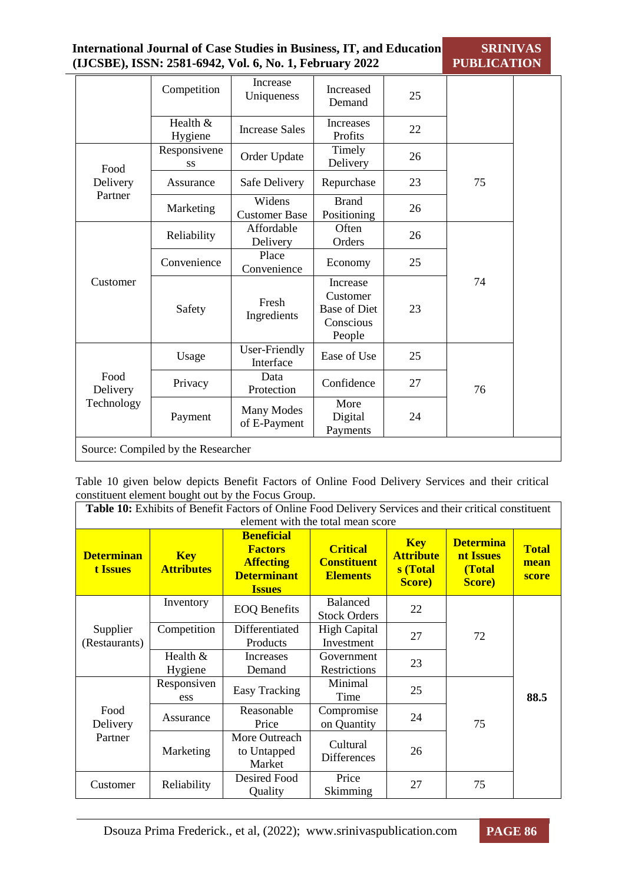| <b>International Journal of Case Studies in Business, IT, and Education</b> | <b>SRINIVAS</b>    |
|-----------------------------------------------------------------------------|--------------------|
| (IJCSBE), ISSN: 2581-6942, Vol. 6, No. 1, February 2022                     | <b>PUBLICATION</b> |

|                                | Competition         | Increase<br>Uniqueness            | Increased<br>Demand                                                | 25 |    |  |
|--------------------------------|---------------------|-----------------------------------|--------------------------------------------------------------------|----|----|--|
|                                | Health &<br>Hygiene | <b>Increase Sales</b>             | Increases<br>Profits                                               | 22 |    |  |
| Food                           | Responsivene<br>SS  | Order Update                      | Timely<br>Delivery                                                 | 26 |    |  |
| Delivery                       | Assurance           | Safe Delivery                     | Repurchase                                                         | 23 | 75 |  |
| Partner                        | Marketing           | Widens<br><b>Customer Base</b>    | <b>Brand</b><br>Positioning                                        | 26 |    |  |
|                                | Reliability         | Affordable<br>Delivery            | Often<br>Orders                                                    | 26 |    |  |
|                                | Convenience         | Place<br>Convenience              | Economy                                                            | 25 |    |  |
| Customer                       | Safety              | Fresh<br>Ingredients              | Increase<br>Customer<br><b>Base of Diet</b><br>Conscious<br>People | 23 | 74 |  |
| Food<br>Delivery<br>Technology | Usage               | User-Friendly<br>Interface        | Ease of Use                                                        | 25 |    |  |
|                                | Privacy             | Data<br>Protection                | Confidence                                                         | 27 | 76 |  |
|                                | Payment             | <b>Many Modes</b><br>of E-Payment | More<br>Digital<br>Payments                                        | 24 |    |  |

Table 10 given below depicts Benefit Factors of Online Food Delivery Services and their critical constituent element bought out by the Focus Group.

| Table 10: Exhibits of Benefit Factors of Online Food Delivery Services and their critical constituent<br>element with the total mean score |                                 |                                                                                                |                                                          |                                                      |                                                           |                               |  |  |
|--------------------------------------------------------------------------------------------------------------------------------------------|---------------------------------|------------------------------------------------------------------------------------------------|----------------------------------------------------------|------------------------------------------------------|-----------------------------------------------------------|-------------------------------|--|--|
| <b>Determinan</b><br><b>t Issues</b>                                                                                                       | <b>Key</b><br><b>Attributes</b> | <b>Beneficial</b><br><b>Factors</b><br><b>Affecting</b><br><b>Determinant</b><br><b>Issues</b> | <b>Critical</b><br><b>Constituent</b><br><b>Elements</b> | <b>Key</b><br><b>Attribute</b><br>s (Total<br>Score) | <b>Determina</b><br>nt Issues<br>(Total<br><b>Score</b> ) | <b>Total</b><br>mean<br>score |  |  |
| Supplier<br>(Restaurants)                                                                                                                  | Inventory                       | <b>EOQ Benefits</b>                                                                            | <b>Balanced</b><br><b>Stock Orders</b>                   | 22                                                   |                                                           |                               |  |  |
|                                                                                                                                            | Competition                     | Differentiated<br>Products                                                                     | <b>High Capital</b><br>Investment                        | 27                                                   | 72                                                        |                               |  |  |
|                                                                                                                                            | Health $&$<br>Hygiene           | Increases<br>Demand                                                                            | Government<br>Restrictions                               | 23                                                   |                                                           |                               |  |  |
| Food<br>Delivery<br>Partner                                                                                                                | Responsiven<br>ess              | <b>Easy Tracking</b>                                                                           | Minimal<br>Time                                          | 25                                                   |                                                           | 88.5                          |  |  |
|                                                                                                                                            | Assurance                       | Reasonable<br>Price                                                                            | Compromise<br>on Quantity                                | 24                                                   | 75                                                        |                               |  |  |
|                                                                                                                                            | Marketing                       | More Outreach<br>to Untapped<br>Market                                                         | Cultural<br><b>Differences</b>                           | 26                                                   |                                                           |                               |  |  |
| Customer                                                                                                                                   | Reliability                     | Desired Food<br>Quality                                                                        | Price<br>Skimming                                        | 27                                                   | 75                                                        |                               |  |  |

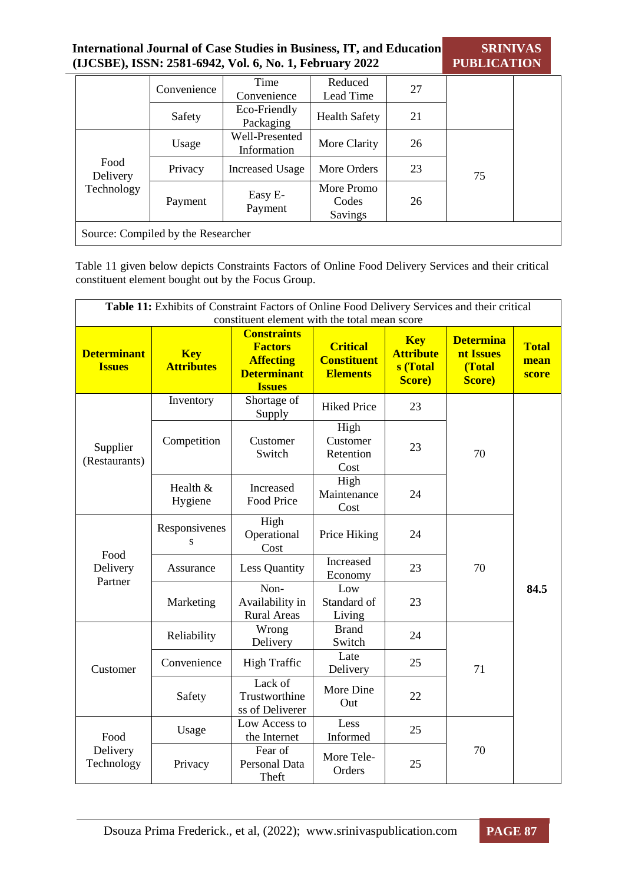| <b>International Journal of Case Studies in Business, IT, and Education</b><br>(IJCSBE), ISSN: 2581-6942, Vol. 6, No. 1, February 2022 |                                    |                               |                                |    | <b>SRINIVAS</b><br><b>PUBLICATION</b> |  |
|----------------------------------------------------------------------------------------------------------------------------------------|------------------------------------|-------------------------------|--------------------------------|----|---------------------------------------|--|
|                                                                                                                                        | Convenience                        | Time<br>Convenience           | Reduced<br>Lead Time           | 27 |                                       |  |
|                                                                                                                                        | Safety                             | Eco-Friendly<br>Packaging     | <b>Health Safety</b>           | 21 |                                       |  |
|                                                                                                                                        | Usage                              | Well-Presented<br>Information | More Clarity                   | 26 |                                       |  |
| Food<br>Delivery                                                                                                                       | Privacy                            | <b>Increased Usage</b>        | More Orders                    | 23 | 75                                    |  |
| Technology                                                                                                                             | Payment                            | Easy E-<br>Payment            | More Promo<br>Codes<br>Savings | 26 |                                       |  |
|                                                                                                                                        | Source: Compiled by the Researcher |                               |                                |    |                                       |  |

Table 11 given below depicts Constraints Factors of Online Food Delivery Services and their critical constituent element bought out by the Focus Group.

| Table 11: Exhibits of Constraint Factors of Online Food Delivery Services and their critical<br>constituent element with the total mean score |                                 |                                                                                                 |                                                          |                                                              |                                                           |                               |  |
|-----------------------------------------------------------------------------------------------------------------------------------------------|---------------------------------|-------------------------------------------------------------------------------------------------|----------------------------------------------------------|--------------------------------------------------------------|-----------------------------------------------------------|-------------------------------|--|
| <b>Determinant</b><br><b>Issues</b>                                                                                                           | <b>Key</b><br><b>Attributes</b> | <b>Constraints</b><br><b>Factors</b><br><b>Affecting</b><br><b>Determinant</b><br><b>Issues</b> | <b>Critical</b><br><b>Constituent</b><br><b>Elements</b> | <b>Key</b><br><b>Attribute</b><br>s (Total<br><b>Score</b> ) | <b>Determina</b><br>nt Issues<br>(Total<br><b>Score</b> ) | <b>Total</b><br>mean<br>score |  |
|                                                                                                                                               | Inventory                       | Shortage of<br>Supply                                                                           | <b>Hiked Price</b>                                       | 23                                                           |                                                           |                               |  |
| Supplier<br>(Restaurants)                                                                                                                     | Competition                     | Customer<br>Switch                                                                              | High<br>Customer<br>Retention<br>Cost                    | 23                                                           | 70                                                        |                               |  |
|                                                                                                                                               | Health &<br>Hygiene             | Increased<br>Food Price                                                                         | High<br>Maintenance<br>Cost                              | 24                                                           |                                                           |                               |  |
|                                                                                                                                               | Responsivenes<br>S              | High<br>Operational<br>Cost                                                                     | Price Hiking                                             | 24                                                           | 70                                                        |                               |  |
| Food<br>Delivery                                                                                                                              | Assurance                       | <b>Less Quantity</b>                                                                            | Increased<br>Economy                                     | 23                                                           |                                                           | 84.5                          |  |
| Partner<br>Customer                                                                                                                           | Marketing                       | Non-<br>Availability in<br><b>Rural Areas</b>                                                   | Low<br>Standard of<br>Living                             | 23                                                           |                                                           |                               |  |
|                                                                                                                                               | Reliability                     | Wrong<br>Delivery                                                                               | <b>Brand</b><br>Switch                                   | 24                                                           |                                                           |                               |  |
|                                                                                                                                               | Convenience                     | <b>High Traffic</b>                                                                             | Late<br>Delivery                                         | 25                                                           | 71                                                        |                               |  |
|                                                                                                                                               | Safety                          | Lack of<br>Trustworthine<br>ss of Deliverer                                                     | More Dine<br>Out                                         | 22                                                           |                                                           |                               |  |
| Food<br>Delivery<br>Technology                                                                                                                | Usage                           | Low Access to<br>the Internet                                                                   | Less<br>Informed                                         | 25                                                           |                                                           |                               |  |
|                                                                                                                                               | Privacy                         | Fear of<br>Personal Data<br>Theft                                                               | More Tele-<br>Orders                                     | 25                                                           | 70                                                        |                               |  |

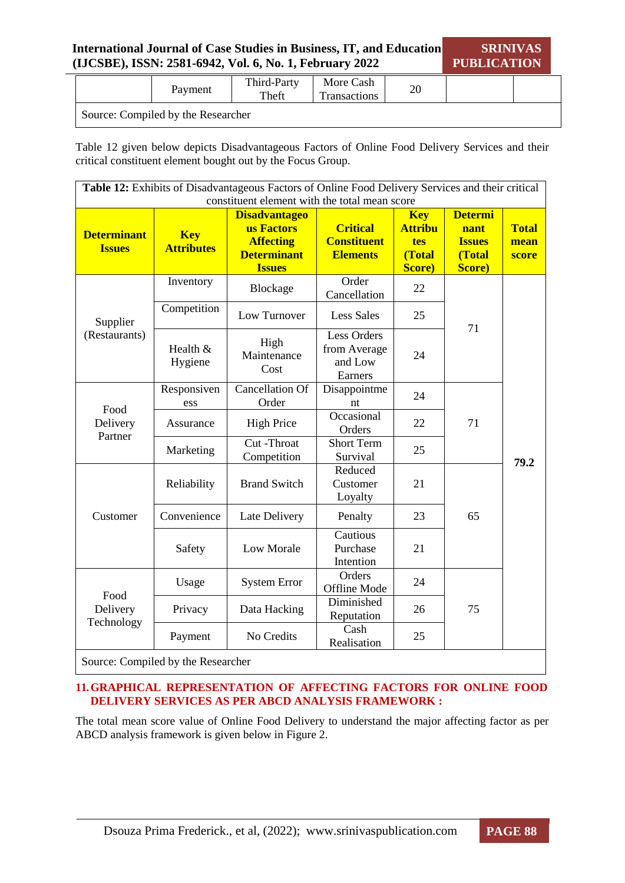| <b>International Journal of Case Studies in Business, IT, and Education</b> | <b>SRINIVAS</b>    |
|-----------------------------------------------------------------------------|--------------------|
| (IJCSBE), ISSN: 2581-6942, Vol. 6, No. 1, February 2022                     | <b>PUBLICATION</b> |

|                                    | Payment | Third-Party<br>Theft | More Cash<br><b>Transactions</b> | oc<br>∠∪ |  |  |  |
|------------------------------------|---------|----------------------|----------------------------------|----------|--|--|--|
| Source: Compiled by the Researcher |         |                      |                                  |          |  |  |  |

Table 12 given below depicts Disadvantageous Factors of Online Food Delivery Services and their critical constituent element bought out by the Focus Group.

| Table 12: Exhibits of Disadvantageous Factors of Online Food Delivery Services and their critical<br>constituent element with the total mean score |                                    |                                                                                               |                                                          |                                                                 |                                                             |                               |
|----------------------------------------------------------------------------------------------------------------------------------------------------|------------------------------------|-----------------------------------------------------------------------------------------------|----------------------------------------------------------|-----------------------------------------------------------------|-------------------------------------------------------------|-------------------------------|
| <b>Determinant</b><br><b>Issues</b>                                                                                                                | <b>Key</b><br><b>Attributes</b>    | <b>Disadvantageo</b><br>us Factors<br><b>Affecting</b><br><b>Determinant</b><br><b>Issues</b> | <b>Critical</b><br><b>Constituent</b><br><b>Elements</b> | <b>Key</b><br><b>Attribu</b><br>tes<br>(Total<br><b>Score</b> ) | <b>Determi</b><br>nant<br><b>Issues</b><br>(Total<br>Score) | <b>Total</b><br>mean<br>score |
|                                                                                                                                                    | Inventory<br>Competition           | Blockage                                                                                      | Order<br>Cancellation                                    | 22                                                              |                                                             |                               |
| Supplier                                                                                                                                           |                                    | Low Turnover                                                                                  | <b>Less Sales</b>                                        | 25                                                              |                                                             |                               |
| (Restaurants)                                                                                                                                      | Health &<br>Hygiene                | High<br>Maintenance<br>Cost                                                                   | Less Orders<br>from Average<br>and Low<br>Earners        | 24                                                              | 71                                                          |                               |
| Food                                                                                                                                               | Responsiven<br>ess                 | <b>Cancellation Of</b><br>Order                                                               | Disappointme<br>nt                                       | 24                                                              |                                                             |                               |
| Delivery<br>Partner                                                                                                                                | Assurance                          | <b>High Price</b>                                                                             | Occasional<br>Orders                                     | 22                                                              | 71                                                          |                               |
|                                                                                                                                                    | Marketing                          | Cut -Throat<br>Competition                                                                    | <b>Short Term</b><br>Survival                            | 25                                                              |                                                             | 79.2                          |
|                                                                                                                                                    | Reliability                        | <b>Brand Switch</b>                                                                           | Reduced<br>Customer<br>Loyalty                           | 21                                                              | 65                                                          |                               |
| Customer                                                                                                                                           | Convenience                        | Late Delivery                                                                                 | Penalty                                                  | 23                                                              |                                                             |                               |
|                                                                                                                                                    | Safety                             | <b>Low Morale</b>                                                                             | Cautious<br>Purchase<br>Intention                        | 21                                                              |                                                             |                               |
|                                                                                                                                                    | Usage                              | <b>System Error</b>                                                                           | Orders<br>Offline Mode                                   | 24                                                              |                                                             |                               |
| Food<br>Delivery<br>Technology                                                                                                                     | Privacy                            | Data Hacking                                                                                  | Diminished<br>Reputation                                 | 26                                                              | 75                                                          |                               |
|                                                                                                                                                    | Payment                            | No Credits                                                                                    | Cash<br>Realisation                                      | 25                                                              |                                                             |                               |
|                                                                                                                                                    | Source: Compiled by the Researcher |                                                                                               |                                                          |                                                                 |                                                             |                               |

**11.GRAPHICAL REPRESENTATION OF AFFECTING FACTORS FOR ONLINE FOOD DELIVERY SERVICES AS PER ABCD ANALYSIS FRAMEWORK :**

The total mean score value of Online Food Delivery to understand the major affecting factor as per ABCD analysis framework is given below in Figure 2.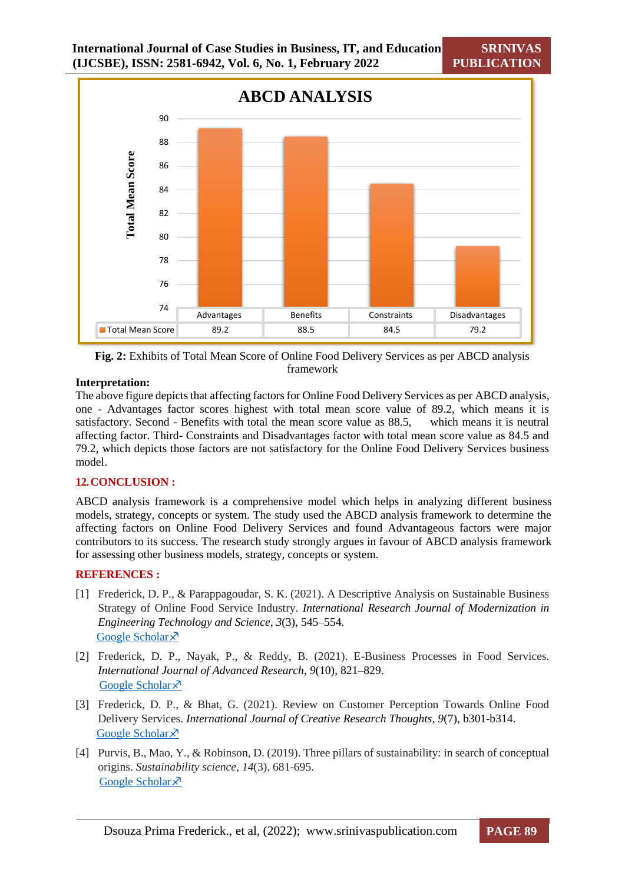**SRINIVAS PUBLICATION**



**Fig. 2:** Exhibits of Total Mean Score of Online Food Delivery Services as per ABCD analysis framework

#### **Interpretation:**

The above figure depicts that affecting factors for Online Food Delivery Services as per ABCD analysis, one - Advantages factor scores highest with total mean score value of 89.2, which means it is satisfactory. Second - Benefits with total the mean score value as 88.5, which means it is neutral affecting factor. Third- Constraints and Disadvantages factor with total mean score value as 84.5 and 79.2, which depicts those factors are not satisfactory for the Online Food Delivery Services business model.

#### **12.CONCLUSION :**

ABCD analysis framework is a comprehensive model which helps in analyzing different business models, strategy, concepts or system. The study used the ABCD analysis framework to determine the affecting factors on Online Food Delivery Services and found Advantageous factors were major contributors to its success. The research study strongly argues in favour of ABCD analysis framework for assessing other business models, strategy, concepts or system.

#### **REFERENCES :**

- [1] Frederick, D. P., & Parappagoudar, S. K. (2021). A Descriptive Analysis on Sustainable Business Strategy of Online Food Service Industry. *International Research Journal of Modernization in Engineering Technology and Science*, *3*(3), 545–554. [Google Scholar](https://scholar.google.com/scholar?hl=en&as_sdt=0%2C5&q=A+DESCRIPTIVE+ANALYSIS+ON+SUSTAINABLE+BUSINESS+STRATEGY+OF+ONLINE+FOOD+SERVICE+INDUSTRY&btnG=) ×
- [2] Frederick, D. P., Nayak, P., & Reddy, B. (2021). E-Business Processes in Food Services. *International Journal of Advanced Research*, *9*(10), 821–829. [Google Scholar](https://scholar.google.com/scholar?hl=en&as_sdt=0%2C5&q=E-BUSINESS+PROCESSES+IN+FOOD+SERVICES%2C&btnG=) ×
- [3] Frederick, D. P., & Bhat, G. (2021). Review on Customer Perception Towards Online Food Delivery Services. *International Journal of Creative Research Thoughts*, *9*(7), b301-b314. [Google Scholar](https://scholar.google.com/scholar?hl=en&as_sdt=0%2C5&q=Review+on+Customer+Perception+Towards+Online+Food+Delivery+Services&btnG=)<sup> $\lambda$ </sup>
- [4] Purvis, B., Mao, Y., & Robinson, D. (2019). Three pillars of sustainability: in search of conceptual origins. *Sustainability science*, *14*(3), 681-695. [Google Scholar](https://scholar.google.com/scholar?hl=en&as_sdt=0%2C5&q=Three+pillars+of+sustainability%3A+in+search+of+conceptual+origins%2C&btnG=) ×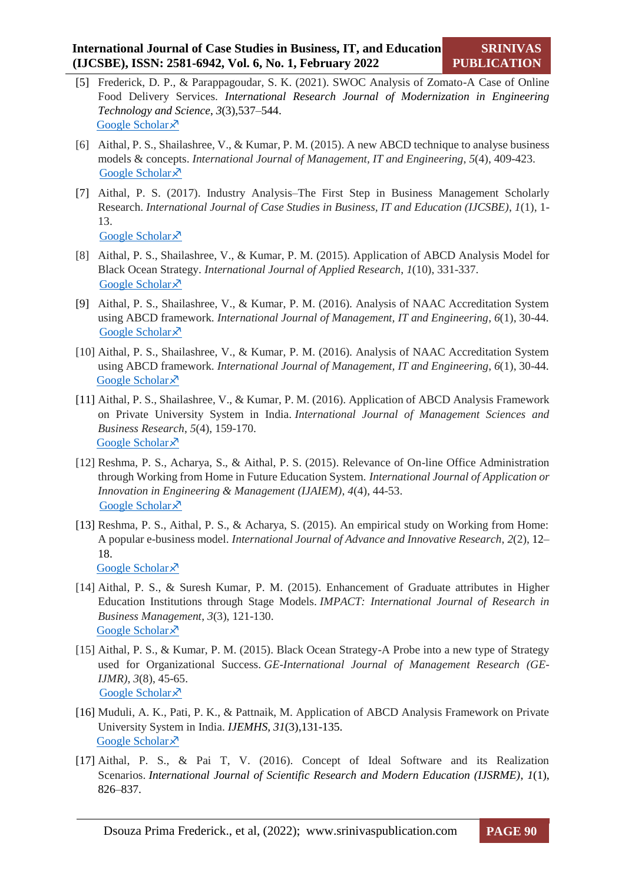- [5] Frederick, D. P., & Parappagoudar, S. K. (2021). SWOC Analysis of Zomato-A Case of Online Food Delivery Services. *International Research Journal of Modernization in Engineering Technology and Science*, *3*(3),537–544. [Google Scholar](https://scholar.google.com/scholar?hl=en&as_sdt=0%2C5&q=SWOC+ANALYSIS+OF+ZOMATO+%E2%80%93+A+CASE+OF+ONLINE+FOOD+DELIVERY+SERVICES&btnG=) ×
- [6] Aithal, P. S., Shailashree, V., & Kumar, P. M. (2015). A new ABCD technique to analyse business models & concepts. *International Journal of Management, IT and Engineering*, *5*(4), 409-423. [Google Scholar](https://scholar.google.com/scholar?hl=en&as_sdt=0%2C5&q=A+New+ABCD+Technique+to+Analyze+Business+Models+%26+Concepts&btnG=) ×
- [7] Aithal, P. S. (2017). Industry Analysis–The First Step in Business Management Scholarly Research. *International Journal of Case Studies in Business, IT and Education (IJCSBE)*, *1*(1), 1- 13. [Google Scholar](https://scholar.google.com/scholar?hl=en&as_sdt=0%2C5&q=Industry+Analysis-+The+First+Step+in+Business+Management+Scholarly+Research%2C&btnG=) ×
- [8] Aithal, P. S., Shailashree, V., & Kumar, P. M. (2015). Application of ABCD Analysis Model for Black Ocean Strategy. *International Journal of Applied Research*, *1*(10), 331-337. [Google Scholar](https://scholar.google.com/scholar?hl=en&as_sdt=0%2C5&q=Application+of+ABCD+Analysis+Model+for+Black+Ocean+Strategy&btnG=)  $\lambda$
- [9] Aithal, P. S., Shailashree, V., & Kumar, P. M. (2016). Analysis of NAAC Accreditation System using ABCD framework. *International Journal of Management, IT and Engineering*, *6*(1), 30-44. [Google Scholar](https://scholar.google.com/scholar?hl=en&as_sdt=0%2C5&q=Analysis+of+NAAC+Accreditation+System+using+ABCD+Framework&btnG=) ×
- [10] Aithal, P. S., Shailashree, V., & Kumar, P. M. (2016). Analysis of NAAC Accreditation System using ABCD framework. *International Journal of Management, IT and Engineering*, *6*(1), 30-44. [Google Scholar](https://scholar.google.com/scholar?hl=en&as_sdt=0%2C5&q=Application+of+ABCD+Analysis+Framework+on+Private+University+System+in+India&btnG=) ×
- [11] Aithal, P. S., Shailashree, V., & Kumar, P. M. (2016). Application of ABCD Analysis Framework on Private University System in India. *International Journal of Management Sciences and Business Research*, *5*(4), 159-170. [Google Scholar](https://scholar.google.com/scholar?hl=en&as_sdt=0%2C5&q=THE+STUDY+OF+NEW+NATIONAL+INSTITUTIONAL+RANKING+SYSTEM+USING+ABCD+FRAMEWORK&btnG=) ×
- [12] Reshma, P. S., Acharya, S., & Aithal, P. S. (2015). Relevance of On-line Office Administration through Working from Home in Future Education System. *International Journal of Application or Innovation in Engineering & Management (IJAIEM)*, *4*(4), 44-53. [Google Scholar](https://scholar.google.com/scholar?hl=en&as_sdt=0%2C5&q=%E2%80%9CRelevance+of+On-line+Office+Administration+through+Working+from+Home+in+Future+Education+System.%E2%80%9D+&btnG=) ×
- [13] Reshma, P. S., Aithal, P. S., & Acharya, S. (2015). An empirical study on Working from Home: A popular e-business model. *International Journal of Advance and Innovative Research*, *2*(2), 12– 18. [Google Scholar](https://scholar.google.com/scholar?hl=en&as_sdt=0%2C5&q=AN+EMPIRICAL+STUDY+ON+WORKING+FROM+HOME%3A+A+POPULAR+E-BUSINESS+MODEL%2C%E2%80%9D&btnG=) ×
- [14] Aithal, P. S., & Suresh Kumar, P. M. (2015). Enhancement of Graduate attributes in Higher Education Institutions through Stage Models. *IMPACT: International Journal of Research in Business Management*, *3*(3), 121-130. [Google Scholar](https://scholar.google.com/scholar?hl=en&as_sdt=0%2C5&q=%E2%80%9CEnhancement+of+Graduate+attributes+in+Higher+Education+Institutions+through+Stage+Models%2C%E2%80%9D+&btnG=) ×
- [15] Aithal, P. S., & Kumar, P. M. (2015). Black Ocean Strategy-A Probe into a new type of Strategy used for Organizational Success. *GE-International Journal of Management Research (GE-IJMR)*, *3*(8), 45-65. [Google Scholar](https://scholar.google.com/scholar?hl=en&as_sdt=0%2C5&q=Black+Ocean+Strategy-A+Probe+into+a+new+type+of+Strategy+used+for+Organizational+Success.%2C%E2%80%9D+&btnG=) ×
- [16] Muduli, A. K., Pati, P. K., & Pattnaik, M. Application of ABCD Analysis Framework on Private University System in India. *IJEMHS, 31*(3),131-135. [Google Scholar](https://scholar.google.com/scholar?hl=en&as_sdt=0%2C5&q=Application+of+ABCD+Analysis+Framework+on+Private+University+System+in+India&btnG=) ×
- [17] Aithal, P. S., & Pai T, V. (2016). Concept of Ideal Software and its Realization Scenarios. *International Journal of Scientific Research and Modern Education (IJSRME)*, *1*(1), 826–837.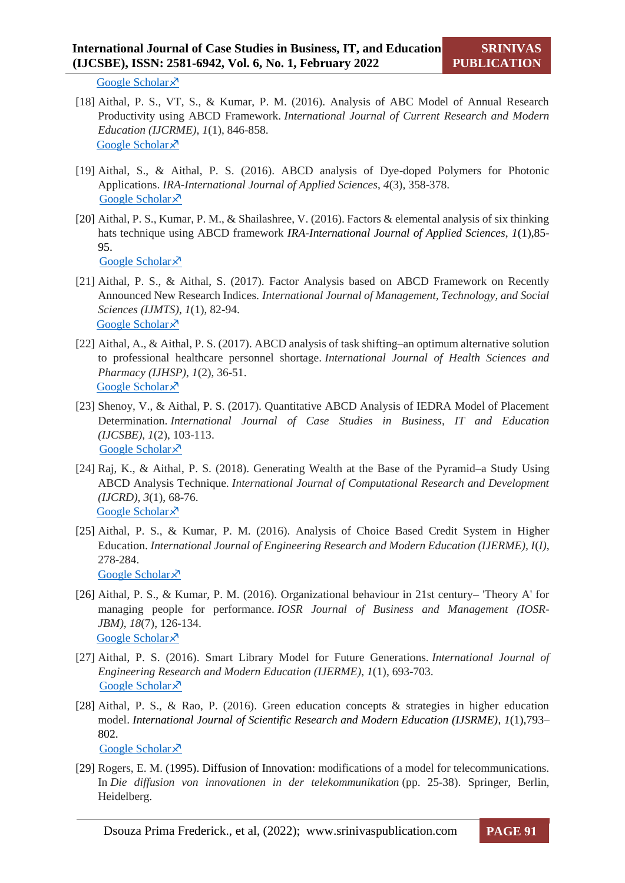[Google Scholar](https://scholar.google.com/scholar?hl=en&as_sdt=0%2C5&q=CONCEPT+OF+IDEAL+SOFTWARE+AND+ITS+REALIZATION+SCENARIOS%2C%E2%80%9D&btnG=)  $\lambda$ 

- [18] Aithal, P. S., VT, S., & Kumar, P. M. (2016). Analysis of ABC Model of Annual Research Productivity using ABCD Framework. *International Journal of Current Research and Modern Education (IJCRME)*, *1*(1), 846-858. [Google Scholar](https://scholar.google.com/scholar?hl=en&as_sdt=0%2C5&q=Analysis+of+ABC+Model+of+Annual+Research+Productivity+using+ABCD+Framework%2C%E2%80%9D&btnG=) ×
- [19] Aithal, S., & Aithal, P. S. (2016). ABCD analysis of Dye-doped Polymers for Photonic Applications. *IRA-International Journal of Applied Sciences*, *4*(3), 358-378. [Google Scholar](https://scholar.google.com/scholar?hl=en&as_sdt=0%2C5&q=%E2%80%9CABCD+analysis+of+Dye-doped+Polymers+for+Photonic+Applications%2C&btnG=) ×
- [20] Aithal, P. S., Kumar, P. M., & Shailashree, V. (2016). Factors & elemental analysis of six thinking hats technique using ABCD framework *IRA-International Journal of Applied Sciences, 1*(1),85- 95.

[Google Scholar](https://scholar.google.com/scholar?hl=en&as_sdt=0%2C5&q=%E2%80%9CFactors+%26+Elemental+Analysis+of+Six+Thinking+Hats+Technique+Using+ABCD+Framework%2C%E2%80%9D+&btnG=) ×

- [21] Aithal, P. S., & Aithal, S. (2017). Factor Analysis based on ABCD Framework on Recently Announced New Research Indices. *International Journal of Management, Technology, and Social Sciences (IJMTS)*, *1*(1), 82-94. [Google Scholar](https://scholar.google.com/scholar?hl=en&as_sdt=0%2C5&q=%E2%80%9CFactor+Analysis+based+on+ABCD+Framework+on+Recently+Announced+New+Research+Indices&btnG=) ×
- [22] Aithal, A., & Aithal, P. S. (2017). ABCD analysis of task shifting–an optimum alternative solution to professional healthcare personnel shortage. *International Journal of Health Sciences and Pharmacy (IJHSP)*, *1*(2), 36-51. [Google Scholar](https://scholar.google.com/scholar?hl=en&as_sdt=0%2C5&q=%E2%80%9CABCD+Analysis+of+Task+Shifting-An+optimum+Alternative+Solution+to+Professional+Healthcare+Personnel+Shortage&btnG=) ×
- [23] Shenoy, V., & Aithal, P. S. (2017). Quantitative ABCD Analysis of IEDRA Model of Placement Determination. *International Journal of Case Studies in Business, IT and Education (IJCSBE)*, *1*(2), 103-113. [Google Scholar](https://scholar.google.com/scholar?hl=en&as_sdt=0%2C5&q=%E2%80%9CQuantitative+ABCD+Analysis+of+IEDRA+Model+of+Placement+Determination%2C%E2%80%9D+&btnG=) ×
- [24] Raj, K., & Aithal, P. S. (2018). Generating Wealth at the Base of the Pyramid–a Study Using ABCD Analysis Technique. *International Journal of Computational Research and Development (IJCRD)*, *3*(1), 68-76. [Google Scholar](https://scholar.google.com/scholar?q=%E2%80%9CGenerating+Wealth+at+the+Base+of+the+Pyramid-A+Study+using+ABCD+Analysis+Technique&hl=en&as_sdt=0,5) ×
- [25] Aithal, P. S., & Kumar, P. M. (2016). Analysis of Choice Based Credit System in Higher Education. *International Journal of Engineering Research and Modern Education (IJERME), I*(*I)*, 278-284. [Google Scholar](https://scholar.google.com/scholar?hl=en&as_sdt=0%2C5&q=ANALYSIS+OF+CHOICE+BASED+CREDIT+SYSTEM+IN+HIGHER+EDUCATION%2C%E2%80%9D+&btnG=) ×
- [26] Aithal, P. S., & Kumar, P. M. (2016). Organizational behaviour in 21st century– 'Theory A' for managing people for performance. *IOSR Journal of Business and Management (IOSR-JBM)*, *18*(7), 126-134. [Google Scholar](https://scholar.google.com/scholar?hl=en&as_sdt=0%2C5&q=Organizational+Behaviour+in+21+st+Century-%E2%80%99Theory+A%E2%80%99+for+Managing+People+for+Performance%2C%E2%80%9D+&btnG=) ×
- [27] Aithal, P. S. (2016). Smart Library Model for Future Generations. *International Journal of Engineering Research and Modern Education (IJERME)*, *1*(1), 693-703. [Google Scholar](https://scholar.google.com/scholar?hl=en&as_sdt=0%2C5&q=%E2%80%9CSMART+LIBRARY+MODELS+FOR+FUTURE+GENERATIONS%2C%E2%80%9D+&btnG=) ×
- [28] Aithal, P. S., & Rao, P. (2016). Green education concepts & strategies in higher education model. *International Journal of Scientific Research and Modern Education (IJSRME)*, *1*(1),793– 802. [Google Scholar](https://scholar.google.com/scholar?hl=en&as_sdt=0%2C5&q=GREEN+EDUCATION+CONCEPTS+%26+STRATEGIES+IN+HIGHER+EDUCATION+MODEL&btnG=) ×
- [29] Rogers, E. M. (1995). Diffusion of Innovation: modifications of a model for telecommunications. In *Die diffusion von innovationen in der telekommunikation* (pp. 25-38). Springer, Berlin, Heidelberg.